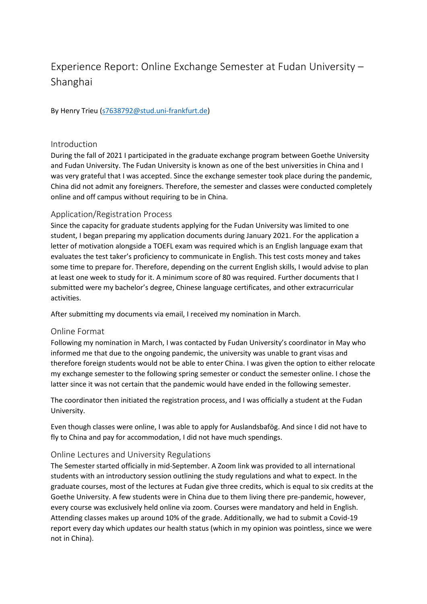# Experience Report: Online Exchange Semester at Fudan University – Shanghai

By Henry Trieu [\(s7638792@stud.uni-frankfurt.de\)](mailto:s7638792@stud.uni-frankfurt.de)

### Introduction

During the fall of 2021 I participated in the graduate exchange program between Goethe University and Fudan University. The Fudan University is known as one of the best universities in China and I was very grateful that I was accepted. Since the exchange semester took place during the pandemic, China did not admit any foreigners. Therefore, the semester and classes were conducted completely online and off campus without requiring to be in China.

## Application/Registration Process

Since the capacity for graduate students applying for the Fudan University was limited to one student, I began preparing my application documents during January 2021. For the application a letter of motivation alongside a TOEFL exam was required which is an English language exam that evaluates the test taker's proficiency to communicate in English. This test costs money and takes some time to prepare for. Therefore, depending on the current English skills, I would advise to plan at least one week to study for it. A minimum score of 80 was required. Further documents that I submitted were my bachelor's degree, Chinese language certificates, and other extracurricular activities.

After submitting my documents via email, I received my nomination in March.

#### Online Format

Following my nomination in March, I was contacted by Fudan University's coordinator in May who informed me that due to the ongoing pandemic, the university was unable to grant visas and therefore foreign students would not be able to enter China. I was given the option to either relocate my exchange semester to the following spring semester or conduct the semester online. I chose the latter since it was not certain that the pandemic would have ended in the following semester.

The coordinator then initiated the registration process, and I was officially a student at the Fudan University.

Even though classes were online, I was able to apply for Auslandsbafög. And since I did not have to fly to China and pay for accommodation, I did not have much spendings.

#### Online Lectures and University Regulations

The Semester started officially in mid-September. A Zoom link was provided to all international students with an introductory session outlining the study regulations and what to expect. In the graduate courses, most of the lectures at Fudan give three credits, which is equal to six credits at the Goethe University. A few students were in China due to them living there pre-pandemic, however, every course was exclusively held online via zoom. Courses were mandatory and held in English. Attending classes makes up around 10% of the grade. Additionally, we had to submit a Covid-19 report every day which updates our health status (which in my opinion was pointless, since we were not in China).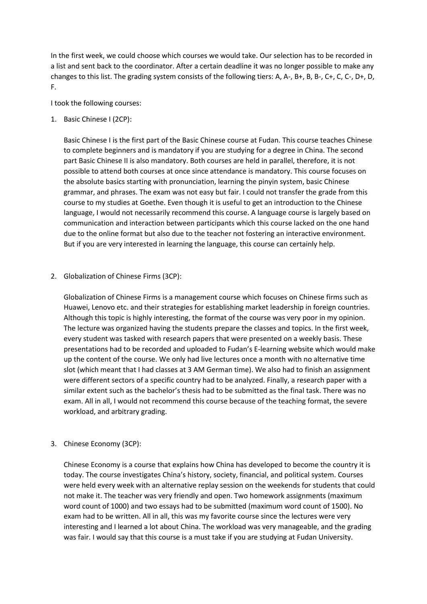In the first week, we could choose which courses we would take. Our selection has to be recorded in a list and sent back to the coordinator. After a certain deadline it was no longer possible to make any changes to this list. The grading system consists of the following tiers: A, A-, B+, B, B-, C+, C, C-, D+, D, F.

I took the following courses:

1. Basic Chinese I (2CP):

Basic Chinese I is the first part of the Basic Chinese course at Fudan. This course teaches Chinese to complete beginners and is mandatory if you are studying for a degree in China. The second part Basic Chinese II is also mandatory. Both courses are held in parallel, therefore, it is not possible to attend both courses at once since attendance is mandatory. This course focuses on the absolute basics starting with pronunciation, learning the pinyin system, basic Chinese grammar, and phrases. The exam was not easy but fair. I could not transfer the grade from this course to my studies at Goethe. Even though it is useful to get an introduction to the Chinese language, I would not necessarily recommend this course. A language course is largely based on communication and interaction between participants which this course lacked on the one hand due to the online format but also due to the teacher not fostering an interactive environment. But if you are very interested in learning the language, this course can certainly help.

2. Globalization of Chinese Firms (3CP):

Globalization of Chinese Firms is a management course which focuses on Chinese firms such as Huawei, Lenovo etc. and their strategies for establishing market leadership in foreign countries. Although this topic is highly interesting, the format of the course was very poor in my opinion. The lecture was organized having the students prepare the classes and topics. In the first week, every student was tasked with research papers that were presented on a weekly basis. These presentations had to be recorded and uploaded to Fudan's E-learning website which would make up the content of the course. We only had live lectures once a month with no alternative time slot (which meant that I had classes at 3 AM German time). We also had to finish an assignment were different sectors of a specific country had to be analyzed. Finally, a research paper with a similar extent such as the bachelor's thesis had to be submitted as the final task. There was no exam. All in all, I would not recommend this course because of the teaching format, the severe workload, and arbitrary grading.

3. Chinese Economy (3CP):

Chinese Economy is a course that explains how China has developed to become the country it is today. The course investigates China's history, society, financial, and political system. Courses were held every week with an alternative replay session on the weekends for students that could not make it. The teacher was very friendly and open. Two homework assignments (maximum word count of 1000) and two essays had to be submitted (maximum word count of 1500). No exam had to be written. All in all, this was my favorite course since the lectures were very interesting and I learned a lot about China. The workload was very manageable, and the grading was fair. I would say that this course is a must take if you are studying at Fudan University.